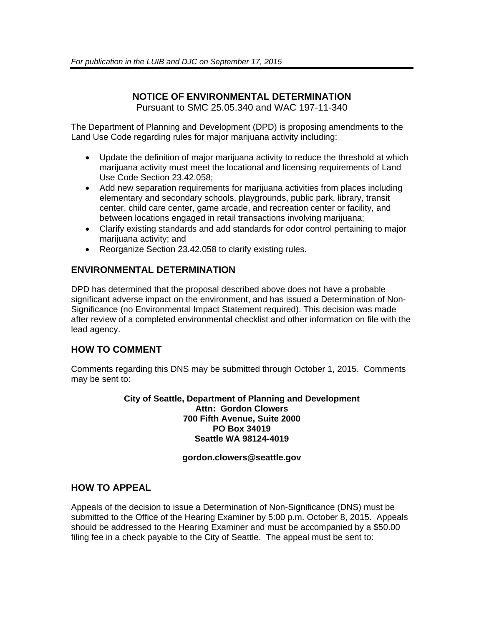# **NOTICE OF ENVIRONMENTAL DETERMINATION**

Pursuant to SMC 25.05.340 and WAC 197-11-340

The Department of Planning and Development (DPD) is proposing amendments to the Land Use Code regarding rules for major marijuana activity including:

- Update the definition of major marijuana activity to reduce the threshold at which marijuana activity must meet the locational and licensing requirements of Land Use Code Section 23.42.058;
- Add new separation requirements for marijuana activities from places including elementary and secondary schools, playgrounds, public park, library, transit center, child care center, game arcade, and recreation center or facility, and between locations engaged in retail transactions involving marijuana;
- Clarify existing standards and add standards for odor control pertaining to major marijuana activity; and
- Reorganize Section 23.42.058 to clarify existing rules.

## **ENVIRONMENTAL DETERMINATION**

DPD has determined that the proposal described above does not have a probable significant adverse impact on the environment, and has issued a Determination of Non-Significance (no Environmental Impact Statement required). This decision was made after review of a completed environmental checklist and other information on file with the lead agency.

# **HOW TO COMMENT**

Comments regarding this DNS may be submitted through October 1, 2015. Comments may be sent to:

> **City of Seattle, Department of Planning and Development Attn: Gordon Clowers 700 Fifth Avenue, Suite 2000 PO Box 34019 Seattle WA 98124-4019**

#### **gordon.clowers@seattle.gov**

## **HOW TO APPEAL**

Appeals of the decision to issue a Determination of Non-Significance (DNS) must be submitted to the Office of the Hearing Examiner by 5:00 p.m. October 8, 2015. Appeals should be addressed to the Hearing Examiner and must be accompanied by a \$50.00 filing fee in a check payable to the City of Seattle. The appeal must be sent to: